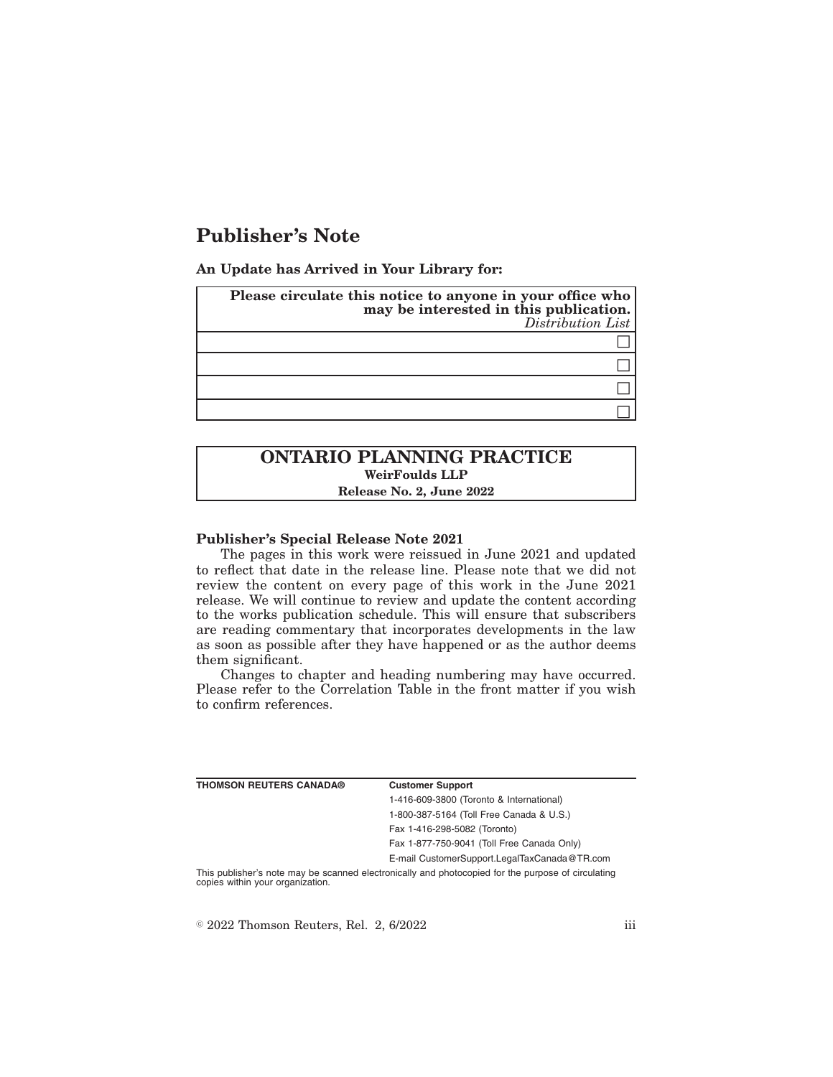# **Publisher's Note**

**An Update has Arrived in Your Library for:**

| Please circulate this notice to anyone in your office who<br>may be interested in this publication.<br>Distribution List |
|--------------------------------------------------------------------------------------------------------------------------|
|                                                                                                                          |
|                                                                                                                          |
|                                                                                                                          |
|                                                                                                                          |

## **ONTARIO PLANNING PRACTICE WeirFoulds LLP Release No. 2, June 2022**

#### **Publisher's Special Release Note 2021**

The pages in this work were reissued in June 2021 and updated to reflect that date in the release line. Please note that we did not review the content on every page of this work in the June 2021 release. We will continue to review and update the content according to the works publication schedule. This will ensure that subscribers are reading commentary that incorporates developments in the law as soon as possible after they have happened or as the author deems them significant.

Changes to chapter and heading numbering may have occurred. Please refer to the Correlation Table in the front matter if you wish to confirm references.

| <b>THOMSON REUTERS CANADA®</b>   | <b>Customer Support</b>                                                                            |
|----------------------------------|----------------------------------------------------------------------------------------------------|
|                                  | 1-416-609-3800 (Toronto & International)                                                           |
|                                  | 1-800-387-5164 (Toll Free Canada & U.S.)                                                           |
|                                  | Fax 1-416-298-5082 (Toronto)                                                                       |
|                                  | Fax 1-877-750-9041 (Toll Free Canada Only)                                                         |
|                                  | E-mail CustomerSupport.LegalTaxCanada@TR.com                                                       |
| copies within your organization. | This publisher's note may be scanned electronically and photocopied for the purpose of circulating |

 $\textdegree$  2022 Thomson Reuters, Rel. 2, 6/2022 iii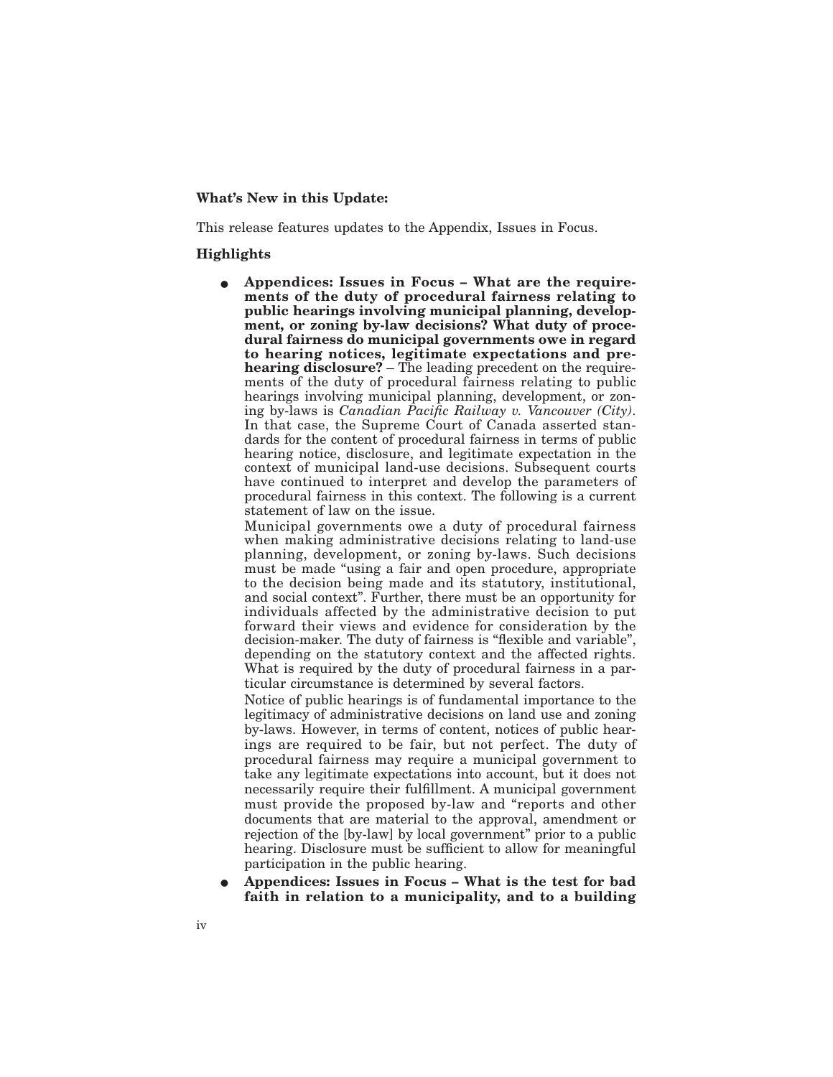### **What's New in this Update:**

This release features updates to the Appendix, Issues in Focus.

### **Highlights**

E **Appendices: Issues in Focus – What are the requirements of the duty of procedural fairness relating to public hearings involving municipal planning, development, or zoning by-law decisions? What duty of procedural fairness do municipal governments owe in regard to hearing notices, legitimate expectations and prehearing disclosure?** – The leading precedent on the requirements of the duty of procedural fairness relating to public hearings involving municipal planning, development, or zoning by-laws is *Canadian Pacific Railway v. Vancouver (City)*. In that case, the Supreme Court of Canada asserted standards for the content of procedural fairness in terms of public hearing notice, disclosure, and legitimate expectation in the context of municipal land-use decisions. Subsequent courts have continued to interpret and develop the parameters of procedural fairness in this context. The following is a current statement of law on the issue.

Municipal governments owe a duty of procedural fairness when making administrative decisions relating to land-use planning, development, or zoning by-laws. Such decisions must be made "using a fair and open procedure, appropriate to the decision being made and its statutory, institutional, and social context". Further, there must be an opportunity for individuals affected by the administrative decision to put forward their views and evidence for consideration by the decision-maker. The duty of fairness is "flexible and variable", depending on the statutory context and the affected rights. What is required by the duty of procedural fairness in a particular circumstance is determined by several factors.

Notice of public hearings is of fundamental importance to the legitimacy of administrative decisions on land use and zoning by-laws. However, in terms of content, notices of public hearings are required to be fair, but not perfect. The duty of procedural fairness may require a municipal government to take any legitimate expectations into account, but it does not necessarily require their fulfillment. A municipal government must provide the proposed by-law and "reports and other documents that are material to the approval, amendment or rejection of the [by-law] by local government" prior to a public hearing. Disclosure must be sufficient to allow for meaningful participation in the public hearing.

E **Appendices: Issues in Focus – What is the test for bad faith in relation to a municipality, and to a building**